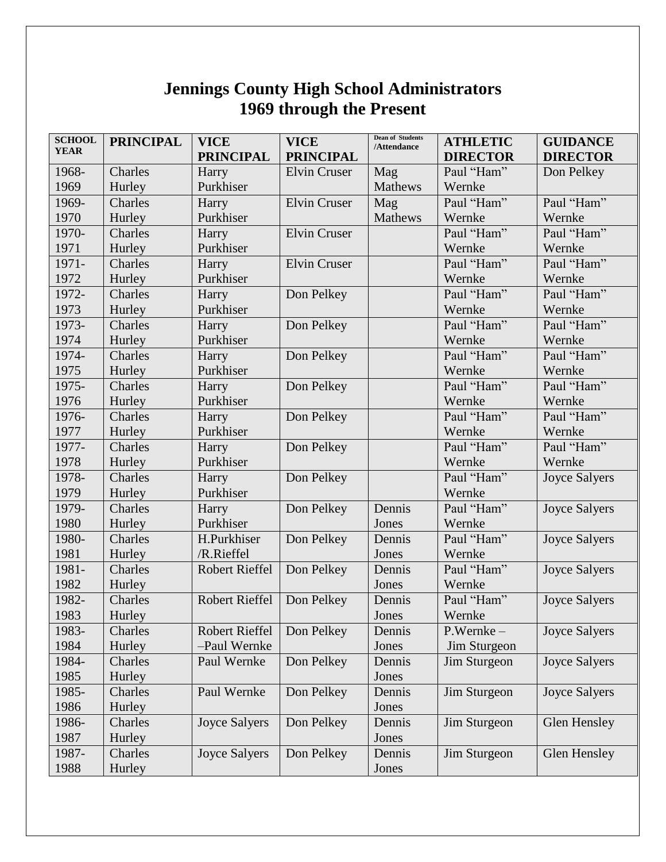## **Jennings County High School Administrators 1969 through the Present**

| <b>SCHOOL</b> | <b>PRINCIPAL</b> | <b>VICE</b>           | <b>VICE</b>         | <b>Dean of Students</b><br>/Attendance | <b>ATHLETIC</b> | <b>GUIDANCE</b>      |
|---------------|------------------|-----------------------|---------------------|----------------------------------------|-----------------|----------------------|
| <b>YEAR</b>   |                  | <b>PRINCIPAL</b>      | <b>PRINCIPAL</b>    |                                        | <b>DIRECTOR</b> | <b>DIRECTOR</b>      |
| 1968-         | Charles          | Harry                 | <b>Elvin Cruser</b> | Mag                                    | Paul "Ham"      | Don Pelkey           |
| 1969          | Hurley           | Purkhiser             |                     | <b>Mathews</b>                         | Wernke          |                      |
| 1969-         | Charles          | Harry                 | <b>Elvin Cruser</b> | Mag                                    | Paul "Ham"      | Paul "Ham"           |
| 1970          | Hurley           | Purkhiser             |                     | Mathews                                | Wernke          | Wernke               |
| 1970-         | Charles          | Harry                 | <b>Elvin Cruser</b> |                                        | Paul "Ham"      | Paul "Ham"           |
| 1971          | Hurley           | Purkhiser             |                     |                                        | Wernke          | Wernke               |
| 1971-         | Charles          | Harry                 | <b>Elvin Cruser</b> |                                        | Paul "Ham"      | Paul "Ham"           |
| 1972          | Hurley           | Purkhiser             |                     |                                        | Wernke          | Wernke               |
| 1972-         | Charles          | Harry                 | Don Pelkey          |                                        | Paul "Ham"      | Paul "Ham"           |
| 1973          | Hurley           | Purkhiser             |                     |                                        | Wernke          | Wernke               |
| 1973-         | Charles          | Harry                 | Don Pelkey          |                                        | Paul "Ham"      | Paul "Ham"           |
| 1974          | Hurley           | Purkhiser             |                     |                                        | Wernke          | Wernke               |
| 1974-         | Charles          | Harry                 | Don Pelkey          |                                        | Paul "Ham"      | Paul "Ham"           |
| 1975          | Hurley           | Purkhiser             |                     |                                        | Wernke          | Wernke               |
| 1975-         | Charles          | Harry                 | Don Pelkey          |                                        | Paul "Ham"      | Paul "Ham"           |
| 1976          | Hurley           | Purkhiser             |                     |                                        | Wernke          | Wernke               |
| 1976-         | Charles          | Harry                 | Don Pelkey          |                                        | Paul "Ham"      | Paul "Ham"           |
| 1977          | Hurley           | Purkhiser             |                     |                                        | Wernke          | Wernke               |
| 1977-         | Charles          | Harry                 | Don Pelkey          |                                        | Paul "Ham"      | Paul "Ham"           |
| 1978          | Hurley           | Purkhiser             |                     |                                        | Wernke          | Wernke               |
| 1978-         | Charles          | Harry                 | Don Pelkey          |                                        | Paul "Ham"      | <b>Joyce Salyers</b> |
| 1979          | Hurley           | Purkhiser             |                     |                                        | Wernke          |                      |
| 1979-         | Charles          | Harry                 | Don Pelkey          | Dennis                                 | Paul "Ham"      | <b>Joyce Salyers</b> |
| 1980          | Hurley           | Purkhiser             |                     | Jones                                  | Wernke          |                      |
| 1980-         | Charles          | H.Purkhiser           | Don Pelkey          | Dennis                                 | Paul "Ham"      | <b>Joyce Salyers</b> |
| 1981          | Hurley           | /R.Rieffel            |                     | Jones                                  | Wernke          |                      |
| 1981-         | Charles          | <b>Robert Rieffel</b> | Don Pelkey          | Dennis                                 | Paul "Ham"      | <b>Joyce Salyers</b> |
| 1982          | Hurley           |                       |                     | Jones                                  | Wernke          |                      |
| 1982-         | Charles          | <b>Robert Rieffel</b> | Don Pelkey          | Dennis                                 | Paul "Ham"      | <b>Joyce Salyers</b> |
| 1983          | Hurley           |                       |                     | Jones                                  | Wernke          |                      |
| 1983-         | Charles          | <b>Robert Rieffel</b> | Don Pelkey          | Dennis                                 | $P.Wernke-$     | <b>Joyce Salyers</b> |
| 1984          | Hurley           | -Paul Wernke          |                     | Jones                                  | Jim Sturgeon    |                      |
| 1984-         | Charles          | Paul Wernke           | Don Pelkey          | Dennis                                 | Jim Sturgeon    | <b>Joyce Salyers</b> |
| 1985          | Hurley           |                       |                     | Jones                                  |                 |                      |
| 1985-         | Charles          | Paul Wernke           | Don Pelkey          | Dennis                                 | Jim Sturgeon    | <b>Joyce Salyers</b> |
| 1986          | Hurley           |                       |                     | Jones                                  |                 |                      |
| 1986-         | Charles          | <b>Joyce Salyers</b>  | Don Pelkey          | Dennis                                 | Jim Sturgeon    | <b>Glen Hensley</b>  |
| 1987          | Hurley           |                       |                     | Jones                                  |                 |                      |
| 1987-         | Charles          | <b>Joyce Salyers</b>  | Don Pelkey          | Dennis                                 | Jim Sturgeon    | Glen Hensley         |
| 1988          | Hurley           |                       |                     | Jones                                  |                 |                      |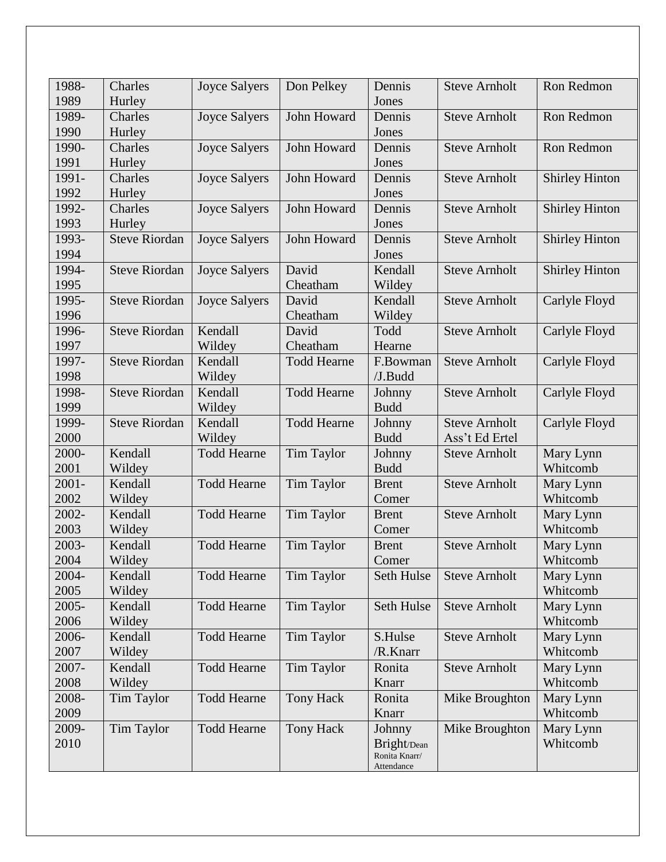| 1988-<br>1989 | Charles<br>Hurley    | <b>Joyce Salyers</b> | Don Pelkey         | Dennis<br>Jones | <b>Steve Arnholt</b> | Ron Redmon            |
|---------------|----------------------|----------------------|--------------------|-----------------|----------------------|-----------------------|
| 1989-         | Charles              | <b>Joyce Salyers</b> | John Howard        | Dennis          | <b>Steve Arnholt</b> | Ron Redmon            |
| 1990          | Hurley               |                      |                    | Jones           |                      |                       |
| 1990-         | Charles              | <b>Joyce Salyers</b> | John Howard        | Dennis          | <b>Steve Arnholt</b> | Ron Redmon            |
| 1991          | Hurley               |                      |                    | Jones           |                      |                       |
| 1991-         | Charles              | <b>Joyce Salyers</b> | John Howard        | Dennis          | <b>Steve Arnholt</b> | <b>Shirley Hinton</b> |
| 1992          | Hurley               |                      |                    | Jones           |                      |                       |
| 1992-         | Charles              | <b>Joyce Salyers</b> | John Howard        | Dennis          | <b>Steve Arnholt</b> | <b>Shirley Hinton</b> |
| 1993          | Hurley               |                      |                    | Jones           |                      |                       |
| 1993-         | <b>Steve Riordan</b> | <b>Joyce Salyers</b> | John Howard        | Dennis          | <b>Steve Arnholt</b> | <b>Shirley Hinton</b> |
| 1994          |                      |                      |                    | Jones           |                      |                       |
| 1994-         | <b>Steve Riordan</b> | <b>Joyce Salyers</b> | David              | Kendall         | <b>Steve Arnholt</b> | <b>Shirley Hinton</b> |
| 1995          |                      |                      | Cheatham           | Wildey          |                      |                       |
| 1995-         | <b>Steve Riordan</b> | <b>Joyce Salyers</b> | David              | Kendall         | <b>Steve Arnholt</b> | Carlyle Floyd         |
| 1996          |                      |                      | Cheatham           | Wildey          |                      |                       |
| 1996-         | <b>Steve Riordan</b> | Kendall              | David              | Todd            | <b>Steve Arnholt</b> | Carlyle Floyd         |
| 1997          |                      | Wildey               | Cheatham           | Hearne          |                      |                       |
| 1997-         | <b>Steve Riordan</b> | Kendall              | <b>Todd Hearne</b> | F.Bowman        | <b>Steve Arnholt</b> | Carlyle Floyd         |
| 1998          |                      | Wildey               |                    | $/J$ . Budd     |                      |                       |
| 1998-         | <b>Steve Riordan</b> | Kendall              | <b>Todd Hearne</b> | Johnny          | <b>Steve Arnholt</b> | Carlyle Floyd         |
| 1999          |                      | Wildey               |                    | <b>Budd</b>     |                      |                       |
| 1999-         | <b>Steve Riordan</b> | Kendall              | <b>Todd Hearne</b> | Johnny          | <b>Steve Arnholt</b> | Carlyle Floyd         |
| 2000          |                      | Wildey               |                    | <b>Budd</b>     | Ass't Ed Ertel       |                       |
| 2000-         | Kendall              | <b>Todd Hearne</b>   | <b>Tim Taylor</b>  | Johnny          | <b>Steve Arnholt</b> | Mary Lynn             |
| 2001          | Wildey               |                      |                    | <b>Budd</b>     |                      | Whitcomb              |
| $2001 -$      | Kendall              | <b>Todd Hearne</b>   | <b>Tim Taylor</b>  | <b>Brent</b>    | <b>Steve Arnholt</b> | Mary Lynn             |
| 2002          | Wildey               |                      |                    | Comer           |                      | Whitcomb              |
| 2002-         | Kendall              | <b>Todd Hearne</b>   | <b>Tim Taylor</b>  | <b>Brent</b>    | <b>Steve Arnholt</b> | Mary Lynn             |
| 2003          | Wildey               |                      |                    | Comer           |                      | Whitcomb              |
| 2003-         | Kendall              | <b>Todd Hearne</b>   | Tim Taylor         | <b>Brent</b>    | <b>Steve Arnholt</b> | Mary Lynn             |
| 2004          | Wildey               |                      |                    | Comer           |                      | Whitcomb              |
| 2004-         | Kendall              | <b>Todd Hearne</b>   | Tim Taylor         | Seth Hulse      | <b>Steve Arnholt</b> | Mary Lynn             |
| 2005          | Wildey               |                      |                    |                 |                      | Whitcomb              |
| $2005 -$      | Kendall              | <b>Todd Hearne</b>   | Tim Taylor         | Seth Hulse      | <b>Steve Arnholt</b> | Mary Lynn             |
| 2006          | Wildey               |                      |                    |                 |                      | Whitcomb              |
| 2006-         | Kendall              | <b>Todd Hearne</b>   | Tim Taylor         | S.Hulse         | <b>Steve Arnholt</b> | Mary Lynn             |
| 2007          | Wildey               |                      |                    | /R.Knarr        |                      | Whitcomb              |
| 2007-         | Kendall              | <b>Todd Hearne</b>   | Tim Taylor         | Ronita          | <b>Steve Arnholt</b> | Mary Lynn             |
| 2008          | Wildey               |                      |                    | Knarr           |                      | Whitcomb              |
| 2008-         | Tim Taylor           | <b>Todd Hearne</b>   | <b>Tony Hack</b>   | Ronita          | Mike Broughton       | Mary Lynn             |
| 2009          |                      |                      |                    | Knarr           |                      | Whitcomb              |
| 2009-         | Tim Taylor           | <b>Todd Hearne</b>   | Tony Hack          | Johnny          | Mike Broughton       | Mary Lynn             |
| 2010          |                      |                      |                    | Bright/Dean     |                      | Whitcomb              |
|               |                      |                      |                    | Ronita Knarr/   |                      |                       |
|               |                      |                      |                    | Attendance      |                      |                       |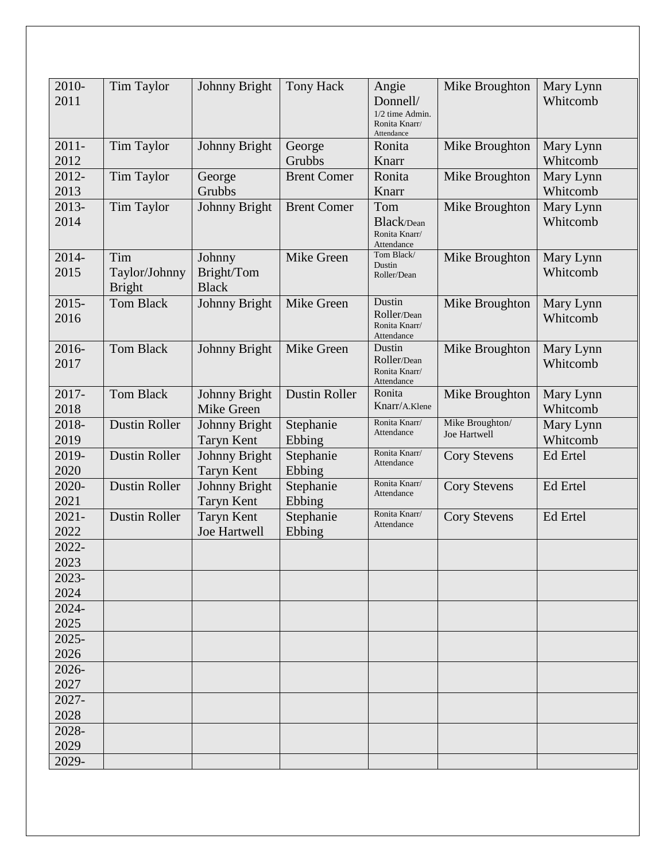| 2010-    | <b>Tim Taylor</b>    | <b>Johnny Bright</b> | <b>Tony Hack</b>     | Angie                              | Mike Broughton      | Mary Lynn |
|----------|----------------------|----------------------|----------------------|------------------------------------|---------------------|-----------|
| 2011     |                      |                      |                      | Donnell/                           |                     | Whitcomb  |
|          |                      |                      |                      | $1/2$ time Admin.<br>Ronita Knarr/ |                     |           |
|          |                      |                      |                      | Attendance                         |                     |           |
| $2011 -$ | Tim Taylor           | Johnny Bright        | George               | Ronita                             | Mike Broughton      | Mary Lynn |
| 2012     |                      |                      | Grubbs               | Knarr                              |                     | Whitcomb  |
| 2012-    | Tim Taylor           | George               | <b>Brent Comer</b>   | Ronita                             | Mike Broughton      | Mary Lynn |
| 2013     |                      | Grubbs               |                      | Knarr                              |                     | Whitcomb  |
| 2013-    | Tim Taylor           | Johnny Bright        | <b>Brent Comer</b>   | Tom                                | Mike Broughton      | Mary Lynn |
| 2014     |                      |                      |                      | Black/Dean                         |                     | Whitcomb  |
|          |                      |                      |                      | Ronita Knarr/                      |                     |           |
|          |                      |                      |                      | Attendance<br>Tom Black/           |                     |           |
| 2014-    | Tim                  | Johnny               | Mike Green           | Dustin                             | Mike Broughton      | Mary Lynn |
| 2015     | Taylor/Johnny        | Bright/Tom           |                      | Roller/Dean                        |                     | Whitcomb  |
|          | <b>Bright</b>        | <b>Black</b>         |                      |                                    |                     |           |
| $2015 -$ | <b>Tom Black</b>     | Johnny Bright        | Mike Green           | Dustin                             | Mike Broughton      | Mary Lynn |
| 2016     |                      |                      |                      | Roller/Dean<br>Ronita Knarr/       |                     | Whitcomb  |
|          |                      |                      |                      | Attendance                         |                     |           |
| 2016-    | <b>Tom Black</b>     | Johnny Bright        | Mike Green           | Dustin                             | Mike Broughton      | Mary Lynn |
| 2017     |                      |                      |                      | Roller/Dean                        |                     | Whitcomb  |
|          |                      |                      |                      | Ronita Knarr/<br>Attendance        |                     |           |
| 2017-    | <b>Tom Black</b>     | Johnny Bright        | <b>Dustin Roller</b> | Ronita                             | Mike Broughton      | Mary Lynn |
| 2018     |                      | Mike Green           |                      | Knarr/A.Klene                      |                     | Whitcomb  |
| 2018-    | <b>Dustin Roller</b> | Johnny Bright        | Stephanie            | Ronita Knarr/                      | Mike Broughton/     | Mary Lynn |
| 2019     |                      | <b>Taryn Kent</b>    | Ebbing               | Attendance                         | <b>Joe Hartwell</b> | Whitcomb  |
| 2019-    | <b>Dustin Roller</b> | Johnny Bright        | Stephanie            | Ronita Knarr/                      | <b>Cory Stevens</b> | Ed Ertel  |
| 2020     |                      | <b>Taryn Kent</b>    | Ebbing               | Attendance                         |                     |           |
| 2020-    | <b>Dustin Roller</b> | Johnny Bright        | Stephanie            | Ronita Knarr/                      | <b>Cory Stevens</b> | Ed Ertel  |
| 2021     |                      | <b>Taryn Kent</b>    | Ebbing               | Attendance                         |                     |           |
| $2021 -$ | <b>Dustin Roller</b> | <b>Taryn Kent</b>    | Stephanie            | Ronita Knarr/                      | <b>Cory Stevens</b> | Ed Ertel  |
| 2022     |                      | Joe Hartwell         | Ebbing               | Attendance                         |                     |           |
| 2022-    |                      |                      |                      |                                    |                     |           |
| 2023     |                      |                      |                      |                                    |                     |           |
|          |                      |                      |                      |                                    |                     |           |
| 2023-    |                      |                      |                      |                                    |                     |           |
| 2024     |                      |                      |                      |                                    |                     |           |
| 2024-    |                      |                      |                      |                                    |                     |           |
| 2025     |                      |                      |                      |                                    |                     |           |
| $2025 -$ |                      |                      |                      |                                    |                     |           |
| 2026     |                      |                      |                      |                                    |                     |           |
| 2026-    |                      |                      |                      |                                    |                     |           |
| 2027     |                      |                      |                      |                                    |                     |           |
| 2027-    |                      |                      |                      |                                    |                     |           |
| 2028     |                      |                      |                      |                                    |                     |           |
| 2028-    |                      |                      |                      |                                    |                     |           |
| 2029     |                      |                      |                      |                                    |                     |           |
| 2029-    |                      |                      |                      |                                    |                     |           |
|          |                      |                      |                      |                                    |                     |           |